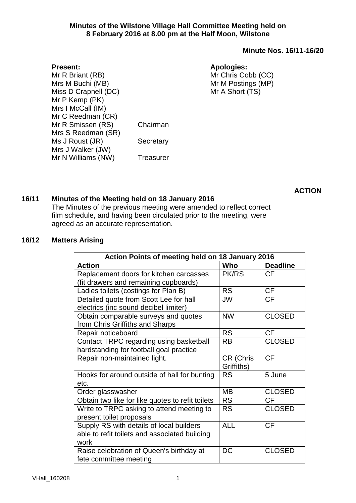#### **Minutes of the Wilstone Village Hall Committee Meeting held on 8 February 2016 at 8.00 pm at the Half Moon, Wilstone**

#### **Minute Nos. 16/11-16/20**

#### **Apologies:**

Mr Chris Cobb (CC) Mr M Postings (MP) Mr A Short (TS)

Mr R Briant (RB) Mrs M Buchi (MB) Miss D Crapnell (DC) Mr P Kemp (PK) Mrs I McCall (IM) Mr C Reedman (CR) Mr R Smissen (RS) Chairman Mrs S Reedman (SR) Ms J Roust (JR) Secretary Mrs J Walker (JW) Mr N Williams (NW) Treasurer

**ACTION**

### **16/11 Minutes of the Meeting held on 18 January 2016**

The Minutes of the previous meeting were amended to reflect correct film schedule, and having been circulated prior to the meeting, were agreed as an accurate representation.

#### **16/12 Matters Arising**

**Present:**

| Action Points of meeting held on 18 January 2016     |                         |                 |  |
|------------------------------------------------------|-------------------------|-----------------|--|
| <b>Action</b>                                        | Who                     | <b>Deadline</b> |  |
| Replacement doors for kitchen carcasses              | <b>PK/RS</b>            | <b>CF</b>       |  |
| (fit drawers and remaining cupboards)                |                         |                 |  |
| Ladies toilets (costings for Plan B)                 | <b>RS</b>               | <b>CF</b>       |  |
| Detailed quote from Scott Lee for hall               | <b>JW</b>               | <b>CF</b>       |  |
| electrics (inc sound decibel limiter)                |                         |                 |  |
| Obtain comparable surveys and quotes                 | <b>NW</b>               | <b>CLOSED</b>   |  |
| from Chris Griffiths and Sharps                      |                         |                 |  |
| Repair noticeboard                                   | <b>RS</b>               | <b>CF</b>       |  |
| Contact TRPC regarding using basketball              | <b>RB</b>               | <b>CLOSED</b>   |  |
| hardstanding for football goal practice              |                         |                 |  |
| Repair non-maintained light.                         | CR (Chris<br>Griffiths) | <b>CF</b>       |  |
| Hooks for around outside of hall for bunting<br>etc. | <b>RS</b>               | 5 June          |  |
| Order glasswasher                                    | MВ                      | <b>CLOSED</b>   |  |
| Obtain two like for like quotes to refit toilets     | <b>RS</b>               | CF              |  |
| Write to TRPC asking to attend meeting to            | <b>RS</b>               | <b>CLOSED</b>   |  |
| present toilet proposals                             |                         |                 |  |
| Supply RS with details of local builders             | <b>ALL</b>              | <b>CF</b>       |  |
| able to refit toilets and associated building        |                         |                 |  |
| work                                                 |                         |                 |  |
| Raise celebration of Queen's birthday at             | DC                      | <b>CLOSED</b>   |  |
| fete committee meeting                               |                         |                 |  |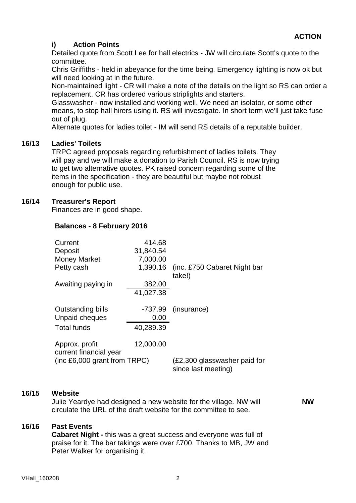# **i) Action Points**

Detailed quote from Scott Lee for hall electrics - JW will circulate Scott's quote to the committee.

Chris Griffiths - held in abeyance for the time being. Emergency lighting is now ok but will need looking at in the future.

Non-maintained light - CR will make a note of the details on the light so RS can order a replacement. CR has ordered various striplights and starters.

Glasswasher - now installed and working well. We need an isolator, or some other means, to stop hall hirers using it. RS will investigate. In short term we'll just take fuse out of plug.

Alternate quotes for ladies toilet - IM will send RS details of a reputable builder.

### **16/13 Ladies' Toilets**

TRPC agreed proposals regarding refurbishment of ladies toilets. They will pay and we will make a donation to Parish Council. RS is now trying to get two alternative quotes. PK raised concern regarding some of the items in the specification - they are beautiful but maybe not robust enough for public use.

### **16/14 Treasurer's Report**

Finances are in good shape.

## **Balances - 8 February 2016**

| Current<br>Deposit<br><b>Money Market</b> | 414.68<br>31,840.54<br>7,000.00 |                                                     |
|-------------------------------------------|---------------------------------|-----------------------------------------------------|
| Petty cash                                | 1,390.16                        | (inc. £750 Cabaret Night bar<br>take!)              |
| Awaiting paying in                        | 382.00<br>41,027.38             |                                                     |
| Outstanding bills<br>Unpaid cheques       | -737.99<br>0.00                 | (insurance)                                         |
| <b>Total funds</b>                        | 40,289.39                       |                                                     |
| Approx. profit<br>current financial year  | 12,000.00                       |                                                     |
| (inc $£6,000$ grant from $TRPC$ )         |                                 | (£2,300 glasswasher paid for<br>since last meeting) |

### **16/15 Website**

Julie Yeardye had designed a new website for the village. NW will circulate the URL of the draft website for the committee to see.

**NW**

### **16/16 Past Events**

**Cabaret Night -** this was a great success and everyone was full of praise for it. The bar takings were over £700. Thanks to MB, JW and Peter Walker for organising it.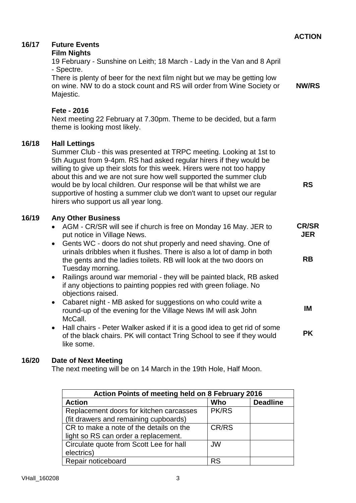|       |                                                                                                                                                                                                                                                                                                                                                                                                                                                                                                                                       | <b>ACTION</b>                           |
|-------|---------------------------------------------------------------------------------------------------------------------------------------------------------------------------------------------------------------------------------------------------------------------------------------------------------------------------------------------------------------------------------------------------------------------------------------------------------------------------------------------------------------------------------------|-----------------------------------------|
| 16/17 | <b>Future Events</b><br><b>Film Nights</b><br>19 February - Sunshine on Leith; 18 March - Lady in the Van and 8 April<br>- Spectre.<br>There is plenty of beer for the next film night but we may be getting low<br>on wine. NW to do a stock count and RS will order from Wine Society or<br>Majestic.<br>Fete - 2016<br>Next meeting 22 February at 7.30pm. Theme to be decided, but a farm                                                                                                                                         | <b>NW/RS</b>                            |
|       | theme is looking most likely.                                                                                                                                                                                                                                                                                                                                                                                                                                                                                                         |                                         |
| 16/18 | <b>Hall Lettings</b><br>Summer Club - this was presented at TRPC meeting. Looking at 1st to<br>5th August from 9-4pm. RS had asked regular hirers if they would be<br>willing to give up their slots for this week. Hirers were not too happy<br>about this and we are not sure how well supported the summer club<br>would be by local children. Our response will be that whilst we are<br>supportive of hosting a summer club we don't want to upset our regular<br>hirers who support us all year long.                           | <b>RS</b>                               |
| 16/19 | <b>Any Other Business</b><br>AGM - CR/SR will see if church is free on Monday 16 May. JER to<br>put notice in Village News.<br>Gents WC - doors do not shut properly and need shaving. One of<br>$\bullet$<br>urinals dribbles when it flushes. There is also a lot of damp in both<br>the gents and the ladies toilets. RB will look at the two doors on<br>Tuesday morning.<br>Railings around war memorial - they will be painted black, RB asked<br>$\bullet$<br>if any objections to painting poppies red with green foliage. No | <b>CR/SR</b><br><b>JER</b><br><b>RB</b> |
|       | objections raised.<br>Cabaret night - MB asked for suggestions on who could write a<br>round-up of the evening for the Village News IM will ask John<br>McCall.                                                                                                                                                                                                                                                                                                                                                                       | IM                                      |
|       | Hall chairs - Peter Walker asked if it is a good idea to get rid of some<br>$\bullet$<br>of the black chairs. PK will contact Tring School to see if they would<br>like some.                                                                                                                                                                                                                                                                                                                                                         | <b>PK</b>                               |
| 16/20 | <b>Date of Next Meeting</b><br>The next meeting will be on 14 March in the 19th Hole, Half Moon.                                                                                                                                                                                                                                                                                                                                                                                                                                      |                                         |

| Action Points of meeting held on 8 February 2016 |              |                 |  |  |
|--------------------------------------------------|--------------|-----------------|--|--|
| <b>Action</b>                                    | Who          | <b>Deadline</b> |  |  |
| Replacement doors for kitchen carcasses          | <b>PK/RS</b> |                 |  |  |
| (fit drawers and remaining cupboards)            |              |                 |  |  |
| CR to make a note of the details on the          | CR/RS        |                 |  |  |
| light so RS can order a replacement.             |              |                 |  |  |
| Circulate quote from Scott Lee for hall          | <b>JW</b>    |                 |  |  |
| electrics)                                       |              |                 |  |  |
| Repair noticeboard                               | RS           |                 |  |  |